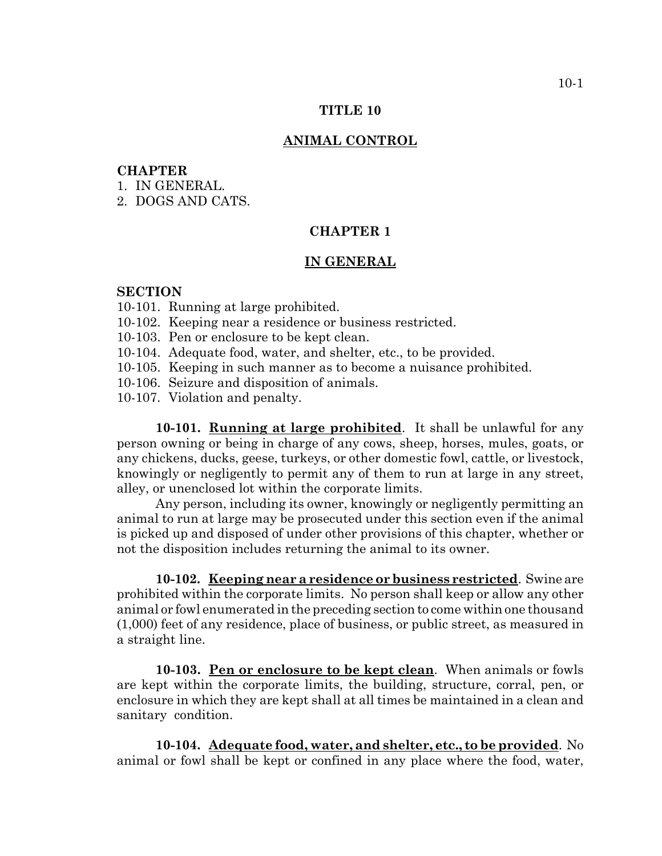#### **TITLE 10**

### **ANIMAL CONTROL**

### **CHAPTER**

- 1. IN GENERAL.
- 2. DOGS AND CATS.

## **CHAPTER 1**

#### **IN GENERAL**

#### **SECTION**

- 10-101. Running at large prohibited.
- 10-102. Keeping near a residence or business restricted.
- 10-103. Pen or enclosure to be kept clean.
- 10-104. Adequate food, water, and shelter, etc., to be provided.
- 10-105. Keeping in such manner as to become a nuisance prohibited.
- 10-106. Seizure and disposition of animals.
- 10-107. Violation and penalty.

**10-101. Running at large prohibited**. It shall be unlawful for any person owning or being in charge of any cows, sheep, horses, mules, goats, or any chickens, ducks, geese, turkeys, or other domestic fowl, cattle, or livestock, knowingly or negligently to permit any of them to run at large in any street, alley, or unenclosed lot within the corporate limits.

Any person, including its owner, knowingly or negligently permitting an animal to run at large may be prosecuted under this section even if the animal is picked up and disposed of under other provisions of this chapter, whether or not the disposition includes returning the animal to its owner.

**10-102. Keeping near a residence or business restricted**. Swine are prohibited within the corporate limits. No person shall keep or allow any other animal or fowl enumerated in the preceding section to come within one thousand (1,000) feet of any residence, place of business, or public street, as measured in a straight line.

**10-103. Pen or enclosure to be kept clean**. When animals or fowls are kept within the corporate limits, the building, structure, corral, pen, or enclosure in which they are kept shall at all times be maintained in a clean and sanitary condition.

**10-104. Adequate food, water, and shelter, etc., to be provided**. No animal or fowl shall be kept or confined in any place where the food, water,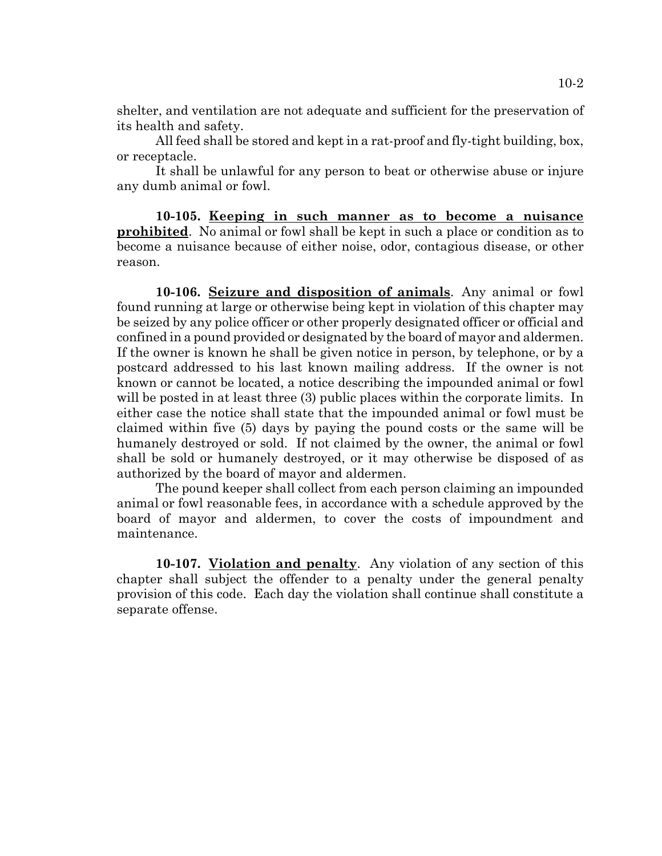shelter, and ventilation are not adequate and sufficient for the preservation of its health and safety.

All feed shall be stored and kept in a rat-proof and fly-tight building, box, or receptacle.

It shall be unlawful for any person to beat or otherwise abuse or injure any dumb animal or fowl.

**10-105. Keeping in such manner as to become a nuisance prohibited**. No animal or fowl shall be kept in such a place or condition as to become a nuisance because of either noise, odor, contagious disease, or other reason.

**10-106. Seizure and disposition of animals**. Any animal or fowl found running at large or otherwise being kept in violation of this chapter may be seized by any police officer or other properly designated officer or official and confined in a pound provided or designated by the board of mayor and aldermen. If the owner is known he shall be given notice in person, by telephone, or by a postcard addressed to his last known mailing address. If the owner is not known or cannot be located, a notice describing the impounded animal or fowl will be posted in at least three (3) public places within the corporate limits. In either case the notice shall state that the impounded animal or fowl must be claimed within five (5) days by paying the pound costs or the same will be humanely destroyed or sold. If not claimed by the owner, the animal or fowl shall be sold or humanely destroyed, or it may otherwise be disposed of as authorized by the board of mayor and aldermen.

The pound keeper shall collect from each person claiming an impounded animal or fowl reasonable fees, in accordance with a schedule approved by the board of mayor and aldermen, to cover the costs of impoundment and maintenance.

**10-107. Violation and penalty**. Any violation of any section of this chapter shall subject the offender to a penalty under the general penalty provision of this code. Each day the violation shall continue shall constitute a separate offense.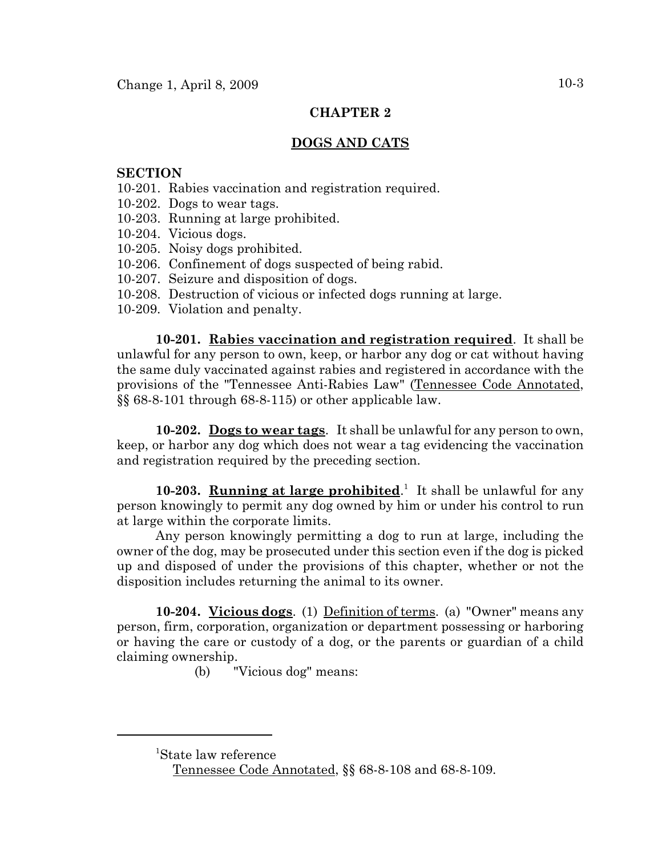## **CHAPTER 2**

# **DOGS AND CATS**

## **SECTION**

- 10-201. Rabies vaccination and registration required.
- 10-202. Dogs to wear tags.
- 10-203. Running at large prohibited.
- 10-204. Vicious dogs.
- 10-205. Noisy dogs prohibited.
- 10-206. Confinement of dogs suspected of being rabid.
- 10-207. Seizure and disposition of dogs.
- 10-208. Destruction of vicious or infected dogs running at large.
- 10-209. Violation and penalty.

**10-201. Rabies vaccination and registration required**. It shall be unlawful for any person to own, keep, or harbor any dog or cat without having the same duly vaccinated against rabies and registered in accordance with the provisions of the "Tennessee Anti-Rabies Law" (Tennessee Code Annotated, §§ 68-8-101 through 68-8-115) or other applicable law.

**10-202. Dogs to wear tags**. It shall be unlawful for any person to own, keep, or harbor any dog which does not wear a tag evidencing the vaccination and registration required by the preceding section.

10-203. **Running at large prohibited**.<sup>1</sup> It shall be unlawful for any person knowingly to permit any dog owned by him or under his control to run at large within the corporate limits.

Any person knowingly permitting a dog to run at large, including the owner of the dog, may be prosecuted under this section even if the dog is picked up and disposed of under the provisions of this chapter, whether or not the disposition includes returning the animal to its owner.

**10-204. Vicious dogs**. (1) Definition of terms. (a) "Owner" means any person, firm, corporation, organization or department possessing or harboring or having the care or custody of a dog, or the parents or guardian of a child claiming ownership.

(b) "Vicious dog" means:

<sup>1</sup> State law reference

Tennessee Code Annotated, §§ 68-8-108 and 68-8-109.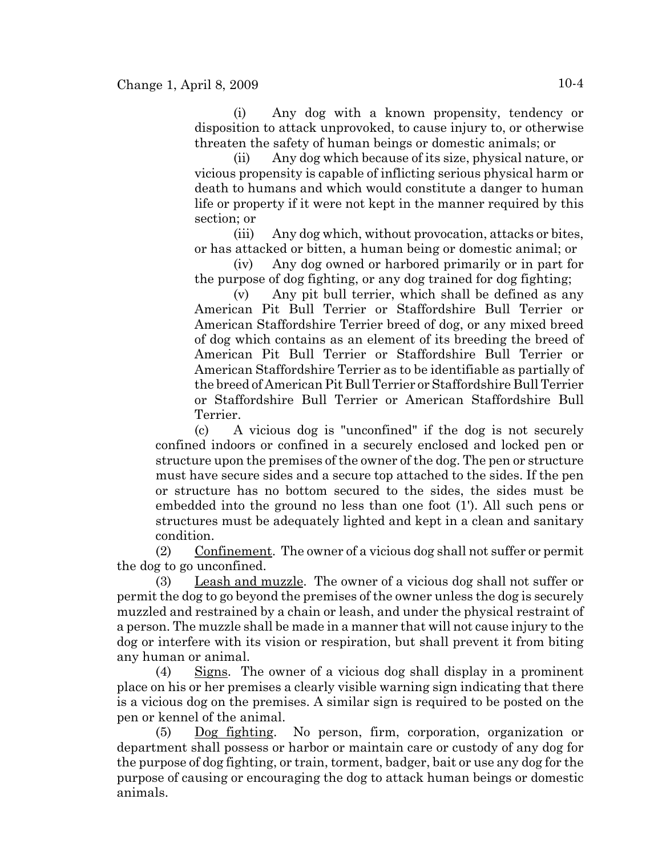(i) Any dog with a known propensity, tendency or disposition to attack unprovoked, to cause injury to, or otherwise threaten the safety of human beings or domestic animals; or

(ii) Any dog which because of its size, physical nature, or vicious propensity is capable of inflicting serious physical harm or death to humans and which would constitute a danger to human life or property if it were not kept in the manner required by this section; or

(iii) Any dog which, without provocation, attacks or bites, or has attacked or bitten, a human being or domestic animal; or

(iv) Any dog owned or harbored primarily or in part for the purpose of dog fighting, or any dog trained for dog fighting;

(v) Any pit bull terrier, which shall be defined as any American Pit Bull Terrier or Staffordshire Bull Terrier or American Staffordshire Terrier breed of dog, or any mixed breed of dog which contains as an element of its breeding the breed of American Pit Bull Terrier or Staffordshire Bull Terrier or American Staffordshire Terrier as to be identifiable as partially of the breed of American Pit Bull Terrier or Staffordshire Bull Terrier or Staffordshire Bull Terrier or American Staffordshire Bull Terrier.

(c) A vicious dog is "unconfined" if the dog is not securely confined indoors or confined in a securely enclosed and locked pen or structure upon the premises of the owner of the dog. The pen or structure must have secure sides and a secure top attached to the sides. If the pen or structure has no bottom secured to the sides, the sides must be embedded into the ground no less than one foot (1'). All such pens or structures must be adequately lighted and kept in a clean and sanitary condition.

(2) Confinement. The owner of a vicious dog shall not suffer or permit the dog to go unconfined.

(3) Leash and muzzle. The owner of a vicious dog shall not suffer or permit the dog to go beyond the premises of the owner unless the dog is securely muzzled and restrained by a chain or leash, and under the physical restraint of a person. The muzzle shall be made in a manner that will not cause injury to the dog or interfere with its vision or respiration, but shall prevent it from biting any human or animal.

(4) Signs. The owner of a vicious dog shall display in a prominent place on his or her premises a clearly visible warning sign indicating that there is a vicious dog on the premises. A similar sign is required to be posted on the pen or kennel of the animal.

(5) Dog fighting. No person, firm, corporation, organization or department shall possess or harbor or maintain care or custody of any dog for the purpose of dog fighting, or train, torment, badger, bait or use any dog for the purpose of causing or encouraging the dog to attack human beings or domestic animals.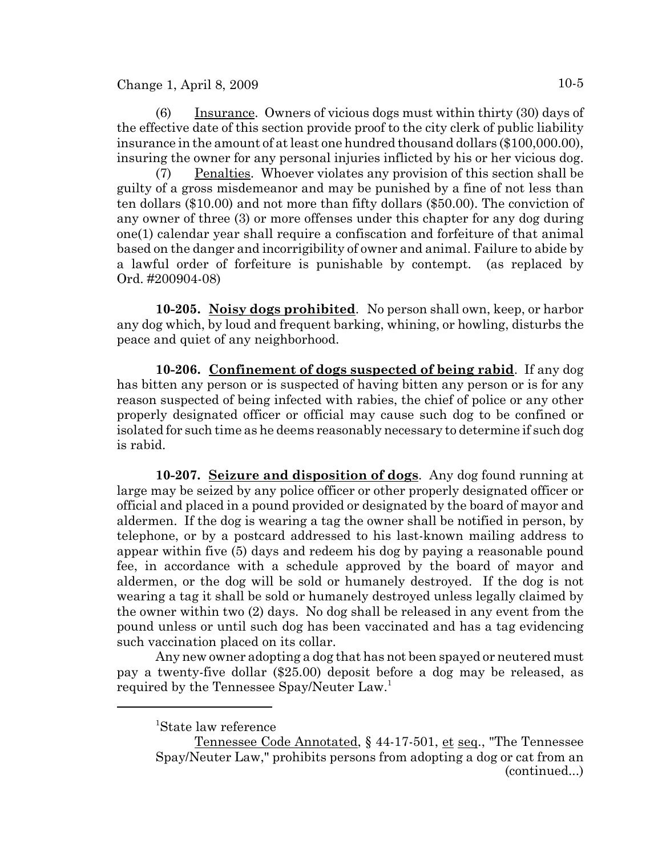$Change 1, April 8, 2009$   $10-5$ 

(6) Insurance. Owners of vicious dogs must within thirty (30) days of the effective date of this section provide proof to the city clerk of public liability insurance in the amount of at least one hundred thousand dollars (\$100,000.00), insuring the owner for any personal injuries inflicted by his or her vicious dog.

(7) Penalties. Whoever violates any provision of this section shall be guilty of a gross misdemeanor and may be punished by a fine of not less than ten dollars (\$10.00) and not more than fifty dollars (\$50.00). The conviction of any owner of three (3) or more offenses under this chapter for any dog during one(1) calendar year shall require a confiscation and forfeiture of that animal based on the danger and incorrigibility of owner and animal. Failure to abide by a lawful order of forfeiture is punishable by contempt. (as replaced by Ord. #200904-08)

**10-205. Noisy dogs prohibited**. No person shall own, keep, or harbor any dog which, by loud and frequent barking, whining, or howling, disturbs the peace and quiet of any neighborhood.

**10-206. Confinement of dogs suspected of being rabid**. If any dog has bitten any person or is suspected of having bitten any person or is for any reason suspected of being infected with rabies, the chief of police or any other properly designated officer or official may cause such dog to be confined or isolated for such time as he deems reasonably necessary to determine if such dog is rabid.

**10-207. Seizure and disposition of dogs**. Any dog found running at large may be seized by any police officer or other properly designated officer or official and placed in a pound provided or designated by the board of mayor and aldermen. If the dog is wearing a tag the owner shall be notified in person, by telephone, or by a postcard addressed to his last-known mailing address to appear within five (5) days and redeem his dog by paying a reasonable pound fee, in accordance with a schedule approved by the board of mayor and aldermen, or the dog will be sold or humanely destroyed. If the dog is not wearing a tag it shall be sold or humanely destroyed unless legally claimed by the owner within two (2) days. No dog shall be released in any event from the pound unless or until such dog has been vaccinated and has a tag evidencing such vaccination placed on its collar.

Any new owner adopting a dog that has not been spayed or neutered must pay a twenty-five dollar (\$25.00) deposit before a dog may be released, as required by the Tennessee Spay/Neuter Law.<sup>1</sup>

<sup>1</sup> State law reference

Tennessee Code Annotated, § 44-17-501, et seq., "The Tennessee Spay/Neuter Law," prohibits persons from adopting a dog or cat from an (continued...)